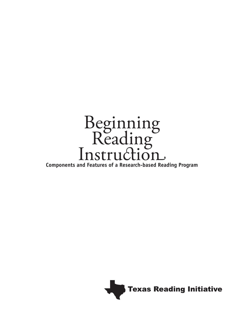# Beginning Reading Instruction **Components and Features of a Research-based Reading Program**

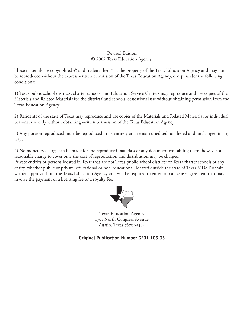#### Revised Edition © 2002 Texas Education Agency.

These materials are copyrighted © and trademarked ™ as the property of the Texas Education Agency and may not be reproduced without the express written permission of the Texas Education Agency, except under the following conditions:

1) Texas public school districts, charter schools, and Education Service Centers may reproduce and use copies of the Materials and Related Materials for the districts' and schools' educational use without obtaining permission from the Texas Education Agency;

2) Residents of the state of Texas may reproduce and use copies of the Materials and Related Materials for individual personal use only without obtaining written permission of the Texas Education Agency;

3) Any portion reproduced must be reproduced in its entirety and remain unedited, unaltered and unchanged in any way;

4) No monetary charge can be made for the reproduced materials or any document containing them; however, a reasonable charge to cover only the cost of reproduction and distribution may be charged.

Private entities or persons located in Texas that are not Texas public school districts or Texas charter schools or any entity, whether public or private, educational or non-educational, located outside the state of Texas MUST obtain written approval from the Texas Education Agency and will be required to enter into a license agreement that may involve the payment of a licensing fee or a royalty fee.



Texas Education Agency 70 North Congress Avenue Austin, Texas 78701-1494

#### **Original Publication Number GE01 105 05**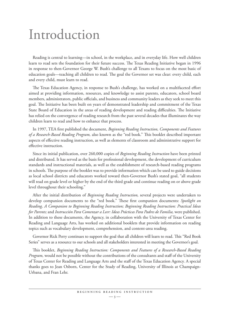# Introduction

Reading is central to learning—in school, in the workplace, and in everyday life. How well children learn to read sets the foundation for their future success. The Texas Reading Initiative began in 1996 in response to then-Governor George W. Bush's challenge to all Texans to focus on the most basic of education goals—teaching all children to read. The goal the Governor set was clear: every child, each and every child, must learn to read.

The Texas Education Agency, in response to Bush's challenge, has worked on a multifaceted effort aimed at providing information, resources, and knowledge to assist parents, educators, school board members, administrators, public officials, and business and community leaders as they seek to meet this goal. The Initiative has been built on years of demonstrated leadership and commitment of the Texas State Board of Education in the areas of reading development and reading difficulties. The Initiative has relied on the convergence of reading research from the past several decades that illuminates the way children learn to read and how to enhance that process.

In 1997, TEA first published the document, *Beginning Reading Instruction, Components and Features of a Research-Based Reading Program,* also known as the "red book." This booklet described important aspects of effective reading instruction, as well as elements of classroom and administrative support for effective instruction.

Since its initial publication, over 260,000 copies of *Beginning Reading Instruction* have been printed and distributed. It has served as the basis for professional development, the development of curriculum standards and instructional materials, as well as the establishment of research-based reading programs in schools. The purpose of the booklet was to provide information which can be used to guide decisions as local school districts and educators worked toward then-Governor Bush's stated goal, "all students will read on grade level or higher by the end of the third grade and continue reading on or above grade level throughout their schooling."

After the initial distribution of *Beginning Reading Instruction,* several projects were undertaken to develop companion documents to the "red book." These first companion documents: *Spotlight on Reading, A Companion to Beginning Reading Instruction; Beginning Reading Instruction: Practical Ideas*  for Parents; and Instrucción Para Comenzar a Leer: Ideas Prácticas Para Padres de Familia, were published. In addition to these documents, the Agency, in collaboration with the University of Texas Center for Reading and Language Arts, has worked on additional booklets that provide information on reading topics such as vocabulary development, comprehension, and content-area reading.

 Governor Rick Perry continues to support the goal that all children will learn to read. This "Red Book Series" serves as a resource to our schools and all stakeholders interested in meeting the Governor's goal.

This booklet, *Beginning Reading Instruction: Components and Features of a Research-Based Reading Program,* would not be possible without the contributions of the consultants and staff of the University of Texas Center for Reading and Language Arts and the staff of the Texas Education Agency. A special thanks goes to Jean Osborn, Center for the Study of Reading, University of Illinois at Champaign-Urbana, and Fran Lehr.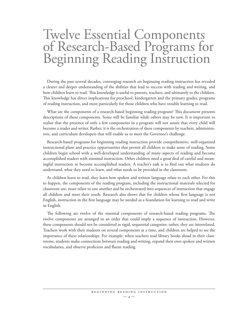# Twelve Essential Components of Research-Based Programs for Beginning Reading Instruction

During the past several decades, converging research on beginning reading instruction has revealed a clearer and deeper understanding of the abilities that lead to success with reading and writing, and how children learn to read. This knowledge is useful to parents, teachers, and ultimately to the children. This knowledge has direct implications for preschool, kindergarten and the primary grades, programs of reading instruction, and most particularly for those children who have trouble learning to read.

What are the components of a research-based beginning reading program? This document presents descriptions of these components. Some will be familiar while others may be new. It is important to realize that the presence of only a few components in a program will not assure that every child will become a reader and writer. Rather, it is the orchestration of these components by teachers, administrators, and curriculum developers that will enable us to meet the Governor's challenge.

Research-based programs for beginning reading instruction provide comprehensive, well-organized instructional plans and practice opportunities that permit all children to make sense of reading. Some children begin school with a well-developed understanding of many aspects of reading and become accomplished readers with minimal instruction. Other children need a great deal of careful and meaningful instruction to become accomplished readers. A teacher's task is to find out what students do understand, what they need to learn, and what needs to be provided in the classroom.

As children learn to read, they learn how spoken and written language relate to each other. For this to happen, the components of the reading program, including the instructional materials selected for classroom use, must relate to one another and be orchestrated into sequences of instruction that engage all children and meet their needs. Research also shows that for children whose first language is not English, instruction in the first language may be needed as a foundation for learning to read and write in English.

The following are twelve of the essential components of research-based reading programs. The twelve components are arranged in an order that could imply a sequence of instruction. However, these components should not be considered as rigid, sequential categories; rather, they are interrelated. Teachers work with their students on several components at a time, and children are helped to see the importance of these relationships. For example, when teachers read library books aloud in their classrooms, students make connections between reading and writing, expand their own spoken and written vocabularies, and observe proficient and fluent reading.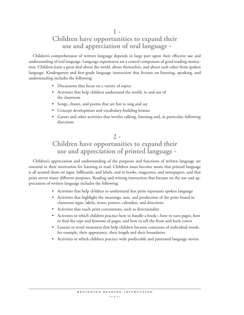#### **1 Children have opportunities to expand their use and appreciation of oral language**

Children's comprehension of written language depends in large part upon their effective use and understanding of oral language. Language experiences are a central component of good reading instruction. Children learn a great deal about the world, about themselves, and about each other from spoken language. Kindergarten and first-grade language instruction that focuses on listening, speaking, and understanding includes the following:

- Discussions that focus on a variety of topics
- Activities that help children understand the world, in and out of the classroom
- Songs, chants, and poems that are fun to sing and say
- Concept development and vocabulary-building lessons
- Games and other activities that involve talking, listening and, in particular, following directions

#### **2 Children have opportunities to expand their use and appreciation of printed language**

Children's appreciation and understanding of the purposes and functions of written language are essential to their motivation for learning to read. Children must become aware that printed language is all around them on signs, billboards, and labels, and in books, magazines, and newspapers, and that print serves many different purposes. Reading and writing instruction that focuses on the use and appreciation of written language includes the following:

- Activities that help children to understand that print represents spoken language
- Activities that highlight the meanings, uses, and production of the print found in classroom signs, labels, notes, posters, calendars, and directions
- Activities that teach print conventions, such as directionality
- Activities in which children practice how to handle a book—how to turn pages, how to find the tops and bottoms of pages, and how to tell the front and back covers
- Lessons in word awareness that help children become conscious of individual words, for example, their appearance, their length and their boundaries
- Activities in which children practice with predictable and patterned language stories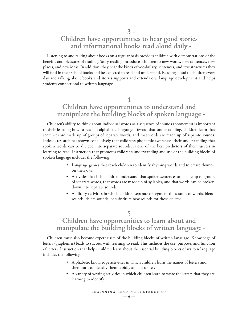#### **3 Children have opportunities to hear good stories and informational books read aloud daily**

Listening to and talking about books on a regular basis provides children with demonstrations of the benefits and pleasures of reading. Story reading introduces children to new words, new sentences, new places, and new ideas. In addition, they hear the kinds of vocabulary, sentences, and text structures they will find in their school books and be expected to read and understand. Reading aloud to children every day and talking about books and stories supports and extends oral language development and helps students connect oral to written language.

#### **4 Children have opportunities to understand and manipulate the building blocks of spoken language**

Children's ability to think about individual words as a sequence of sounds (phonemes) is important to their learning how to read an alphabetic language. Toward that understanding, children learn that sentences are made up of groups of separate words, and that words are made up of separate sounds. Indeed, research has shown conclusively that children's phonemic awareness, their understanding that spoken words can be divided into separate sounds, is one of the best predictors of their success in learning to read. Instruction that promotes children's understanding and use of the building blocks of spoken language includes the following:

- Language games that teach children to identify rhyming words and to create rhymes on their own
- Activities that help children understand that spoken sentences are made up of groups of separate words, that words are made up of syllables, and that words can be broken down into separate sounds
- Auditory activities in which children separate or segment the sounds of words, blend sounds, delete sounds, or substitute new sounds for those deleted

#### **5 Children have opportunities to learn about and manipulate the building blocks of written language**

Children must also become expert users of the building blocks of written language. Knowledge of letters (graphemes) leads to success with learning to read. This includes the use, purpose, and function of letters. Instruction that helps children learn about the essential building blocks of written language includes the following:

- Alphabetic knowledge activities in which children learn the names of letters and then learn to identify them rapidly and accurately
- A variety of writing activities in which children learn to write the letters that they are learning to identify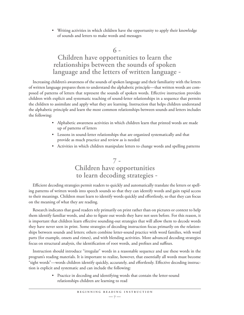• Writing activities in which children have the opportunity to apply their knowledge of sounds and letters to make words and messages

### **6**

### **Children have opportunities to learn the relationships between the sounds of spoken language and the letters of written language**

Increasing children's awareness of the sounds of spoken language and their familiarity with the letters of written language prepares them to understand the alphabetic principle—that written words are composed of patterns of letters that represent the sounds of spoken words. Effective instruction provides children with explicit and systematic teaching of sound-letter relationships in a sequence that permits the children to assimilate and apply what they are learning. Instruction that helps children understand the alphabetic principle and learn the most common relationships between sounds and letters includes the following:

- Alphabetic awareness activities in which children learn that printed words are made up of patterns of letters
- Lessons in sound-letter relationships that are organized systematically and that provide as much practice and review as is needed
- Activities in which children manipulate letters to change words and spelling patterns

#### **7 Children have opportunities to learn decoding strategies**

Efficient decoding strategies permit readers to quickly and automatically translate the letters or spelling patterns of written words into speech sounds so that they can identify words and gain rapid access to their meanings. Children must learn to identify words quickly and effortlessly, so that they can focus on the meaning of what they are reading.

Research indicates that good readers rely primarily on print rather than on pictures or context to help them identify familiar words, and also to figure out words they have not seen before. For this reason, it is important that children learn effective sounding-out strategies that will allow them to decode words they have never seen in print. Some strategies of decoding instruction focus primarily on the relationships between sounds and letters; others combine letter-sound practice with word families, with word parts (for example, onsets and rimes), and with blending activities. More advanced decoding strategies focus on structural analysis, the identification of root words, and prefixes and suffixes.

Instruction should introduce "irregular" words in a reasonable sequence and use these words in the program's reading materials. It is important to realize, however, that essentially all words must become "sight words"—words children identify quickly, accurately, and effortlessly. Effective decoding instruction is explicit and systematic and can include the following:

> • Practice in decoding and identifying words that contain the letter-sound relationships children are learning to read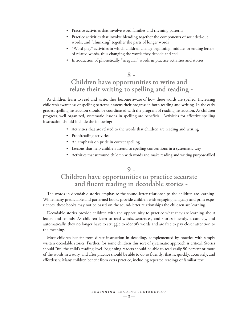- Practice activities that involve word families and rhyming patterns
- Practice activities that involve blending together the components of sounded-out words, and "chunking" together the parts of longer words
- "Word play" activities in which children change beginning, middle, or ending letters of related words, thus changing the words they decode and spell
- Introduction of phonetically "irregular" words in practice activities and stories

#### **8 Children have opportunities to write and relate their writing to spelling and reading**

As children learn to read and write, they become aware of how these words are spelled. Increasing children's awareness of spelling patterns hastens their progress in both reading and writing. In the early grades, spelling instruction should be coordinated with the program of reading instruction. As children progress, well organized, systematic lessons in spelling are beneficial. Activities for effective spelling instruction should include the following:

- Activities that are related to the words that children are reading and writing
- Proofreading activities
- An emphasis on pride in correct spelling
- Lessons that help children attend to spelling conventions in a systematic way
- • Activities that surround children with words and make reading and writing purpose-filled

#### **9 Children have opportunities to practice accurate and fluent reading in decodable stories**

The words in decodable stories emphasize the sound-letter relationships the children are learning. While many predictable and patterned books provide children with engaging language and print experiences, these books may not be based on the sound-letter relationships the children are learning.

Decodable stories provide children with the opportunity to practice what they are learning about letters and sounds. As children learn to read words, sentences, and stories fluently, accurately, and automatically, they no longer have to struggle to identify words and are free to pay closer attention to the meaning.

 Most children benefit from direct instruction in decoding, complemented by practice with simply written decodable stories. Further, for some children this sort of systematic approach is critical. Stories should "fit" the child's reading level. Beginning readers should be able to read easily 90 percent or more of the words in a story, and after practice should be able to do so fluently: that is, quickly, accurately, and effortlessly. Many children benefit from extra practice, including repeated readings of familiar text.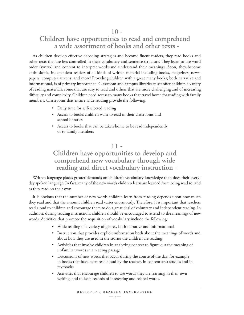### **10**

### **Children have opportunities to read and comprehend a wide assortment of books and other texts**

As children develop effective decoding strategies and become fluent readers, they read books and other texts that are less controlled in their vocabulary and sentence structure. They learn to use word order (syntax) and content to interpret words and understand their meanings. Soon, they become enthusiastic, independent readers of all kinds of written material including books, magazines, newspapers, computer screens, and more! Providing children with a great many books, both narrative and informational, is of primary importance. Classroom and campus libraries must offer children a variety of reading materials, some that are easy to read and others that are more challenging and of increasing difficulty and complexity. Children need access to many books that travel home for reading with family members. Classrooms that ensure wide reading provide the following:

- Daily time for self-selected reading
- Access to books children want to read in their classrooms and school libraries
- Access to books that can be taken home to be read independently, or to family members

#### **11 Children have opportunities to develop and comprehend new vocabulary through wide reading and direct vocabulary instruction**

Written language places greater demands on children's vocabulary knowledge than does their everyday spoken language. In fact, many of the new words children learn are learned from being read to, and as they read on their own.

It is obvious that the number of new words children learn from reading depends upon how much they read and that the amount children read varies enormously. Therefore, it is important that teachers read aloud to children and encourage them to do a great deal of voluntary and independent reading. In addition, during reading instruction, children should be encouraged to attend to the meanings of new words. Activities that promote the acquisition of vocabulary include the following:

- Wide reading of a variety of genres, both narrative and informational
- Instruction that provides explicit information both about the meanings of words and about how they are used in the stories the children are reading
- Activities that involve children in analyzing context to figure out the meaning of unfamiliar words in a reading passage
- Discussions of new words that occur during the course of the day, for example in books that have been read aloud by the teacher, in content area studies and in textbooks
- Activities that encourage children to use words they are learning in their own writing, and to keep records of interesting and related words.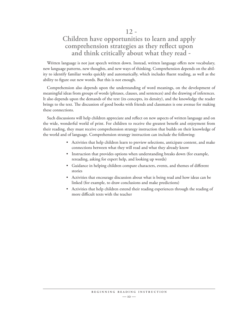#### **12**

#### **Children have opportunities to learn and apply comprehension strategies as they reflect upon and think critically about what they read**

Written language is not just speech written down. Instead, written language offers new vocabulary, new language patterns, new thoughts, and new ways of thinking. Comprehension depends on the ability to identify familiar works quickly and automatically, which includes fluent reading, as well as the ability to figure out new words. But this is not enough.

Comprehension also depends upon the understanding of word meanings, on the development of meaningful ideas from groups of words (phrases, clauses, and sentences) and the drawing of inferences. It also depends upon the demands of the text (its concepts, its density), and the knowledge the reader brings to the text. The discussion of good books with friends and classmates is one avenue for making these connections.

Such discussions will help children appreciate and reflect on new aspects of written language and on the wide, wonderful world of print. For children to receive the greatest benefit and enjoyment from their reading, they must receive comprehension strategy instruction that builds on their knowledge of the world and of language. Comprehension strategy instruction can include the following:

- Activities that help children learn to preview selections, anticipate content, and make connections between what they will read and what they already know
- Instruction that provides options when understanding breaks down (for example, rereading, asking for expert help, and looking up words)
- Guidance in helping children compare characters, events, and themes of different stories
- Activities that encourage discussion about what is being read and how ideas can be linked (for example, to draw conclusions and make predictions)
- Activities that help children extend their reading experiences through the reading of more difficult texts with the teacher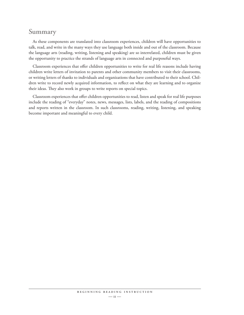#### **Summary**

As these components are translated into classroom experiences, children will have opportunities to talk, read, and write in the many ways they use language both inside and out of the classroom. Because the language arts (reading, writing, listening and speaking) are so interrelated, children must be given the opportunity to practice the strands of language arts in connected and purposeful ways.

Classroom experiences that offer children opportunities to write for real life reasons include having children write letters of invitation to parents and other community members to visit their classrooms, or writing letters of thanks to individuals and organizations that have contributed to their school. Children write to record newly acquired information, to reflect on what they are learning and to organize their ideas. They also work in groups to write reports on special topics.

Classroom experiences that offer children opportunities to read, listen and speak for real life purposes include the reading of "everyday" notes, news, messages, lists, labels, and the reading of compositions and reports written in the classroom. In such classrooms, reading, writing, listening, and speaking become important and meaningful to every child.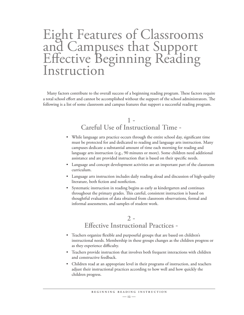## Eight Features of Classrooms and Campuses that Support Effective Beginning Reading Instruction

Many factors contribute to the overall success of a beginning reading program. These factors require a total school effort and cannot be accomplished without the support of the school administrators. The following is a list of some classroom and campus features that support a successful reading program.

#### **1 Careful Use of Instructional Time**

- While language arts practice occurs through the entire school day, significant time must be protected for and dedicated to reading and language arts instruction. Many campuses dedicate a substantial amount of time each morning for reading and language arts instruction (e.g., 90 minutes or more). Some children need additional assistance and are provided instruction that is based on their specific needs.
- Language and concept development activities are an important part of the classroom curriculum.
- Language arts instruction includes daily reading aloud and discussion of high-quality literature, both fiction and nonfiction.
- Systematic instruction in reading begins as early as kindergarten and continues throughout the primary grades. This careful, consistent instruction is based on thoughtful evaluation of data obtained from classroom observations, formal and informal assessments, and samples of student work.

#### **2 Effective Instructional Practices**

- Teachers organize flexible and purposeful groups that are based on children's instructional needs. Membership in these groups changes as the children progress or as they experience difficulty.
- Teachers provide instruction that involves both frequent interactions with children and constructive feedback.
- Children read at an appropriate level in their programs of instruction, and teachers adjust their instructional practices according to how well and how quickly the children progress.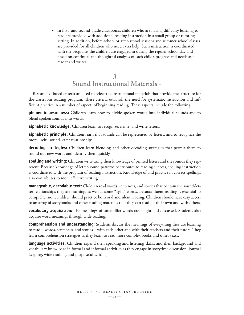• In first- and second-grade classrooms, children who are having difficulty learning to read are provided with additional reading instruction in a small group or tutoring setting. In addition, before-school or after-school sessions and summer school classes are provided for all children who need extra help. Such instruction is coordinated with the programs the children are engaged in during the regular school day and based on continual and thoughtful analysis of each child's progress and needs as a reader and writer.

#### **3 Sound Instructional Materials**

Researched-based criteria are used to select the instructional materials that provide the structure for the classroom reading program. These criteria establish the need for systematic instruction and sufficient practice in a number of aspects of beginning reading. These aspects include the following:

**phonemic awareness:** Children learn how to divide spoken words into individual sounds and to blend spoken sounds into words.

**alphabetic knowledge:** Children learn to recognize, name, and write letters.

**alphabetic principle:** Children learn that sounds can be represented by letters, and to recognize the more useful sound-letter relationships.

**decoding strategies:** Children learn blending and other decoding strategies that permit them to sound out new words and identify them quickly.

**spelling and writing:** Children write using their knowledge of printed letters and the sounds they represent. Because knowledge of letter-sound patterns contributes to reading success, spelling instruction is coordinated with the program of reading instruction. Knowledge of and practice in correct spellings also contributes to more effective writing.

**manageable, decodable text:** Children read words, sentences, and stories that contain the sound-letter relationships they are learning, as well as some "sight" words. Because fluent reading is essential to comprehension, children should practice both oral and silent reading. Children should have easy access to an array of storybooks and other reading materials that they can read on their own and with others.

**vocabulary acquisition:** The meanings of unfamiliar words are taught and discussed. Students also acquire word meanings through wide reading.

**comprehension and understanding:** Students discuss the meanings of everything they are learning to read—words, sentences, and stories—with each other and with their teachers and their tutors. They learn comprehension strategies as they learn to read more complex books and other texts.

**language activities:** Children expand their speaking and listening skills, and their background and vocabulary knowledge in formal and informal activities as they engage in storytime discussion, journal keeping, wide reading, and purposeful writing.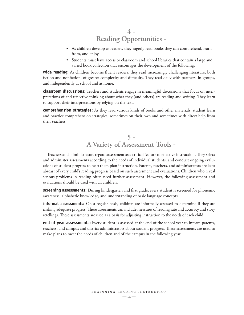#### **4 Reading Opportunities**

- As children develop as readers, they eagerly read books they can comprehend, learn from, and enjoy.
- Students must have access to classroom and school libraries that contain a large and varied book collection that encourages the development of the following:

**wide reading:** As children become fluent readers, they read increasingly challenging literature, both fiction and nonfiction, of greater complexity and difficulty. They read daily with partners, in groups, and independently at school and at home.

**classroom discussions:** Teachers and students engage in meaningful discussions that focus on interpretations of and reflective thinking about what they (and others) are reading and writing. They learn to support their interpretations by relying on the text.

**comprehension strategies:** As they read various kinds of books and other materials, student learn and practice comprehension strategies, sometimes on their own and sometimes with direct help from their teachers.

#### **5 A Variety of Assessment Tools**

Teachers and administrators regard assessment as a critical feature of effective instruction. They select and administer assessments according to the needs of individual students, and conduct ongoing evaluations of student progress to help them plan instruction. Parents, teachers, and administrators are kept abreast of every child's reading progress based on such assessment and evaluations. Children who reveal serious problems in reading often need further assessment. However, the following assessment and evaluations should be used with all children:

**screening assessments:** During kindergarten and first grade, every student is screened for phonemic awareness, alphabetic knowledge, and understanding of basic language concepts.

 **informal assessments:** On a regular basis, children are informally assessed to determine if they are making adequate progress. These assessments can include measures of reading rate and accuracy and story retellings. These assessments are used as a basis for adjusting instruction to the needs of each child.

**end-of-year assessments:** Every student is assessed at the end of the school year to inform parents, teachers, and campus and district administrators about student progress. These assessments are used to make plans to meet the needs of children and of the campus in the following year.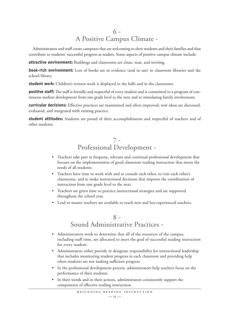#### **6 A Positive Campus Climate**

 Administrators and staff create campuses that are welcoming to their students and their families and that contribute to students' successful progress as readers. Some aspects of positive campus climate include:

**attractive environment:** Buildings and classrooms are clean, neat, and inviting.

**book-rich environment:** Lots of books are in evidence (and in use) in classroom libraries and the school library.

**student work:** Children's written work is displayed in the halls and in the classrooms.

**positive staff:** The staff is friendly and respectful of every student and is committed to a program of con-tinuous student development from one grade level to the next and to stimulating family involvement.

**curricular decisions:** Effective practices are maintained and often improved; new ideas are discussed, evaluated, and integrated with existing practice.

**student attitudes:** Students are proud of their accomplishments and respectful of teachers and of other students.

#### **7 Professional Development**

- Teachers take part in frequent, relevant and continual professional development that focuses on the implementation of good classroom reading instruction that meets the needs of all students.
- Teachers have time to work with and to consult each other, to visit each other's classrooms, and to make instructional decisions that improve the coordination of instruction from one grade level to the next.
- Teachers are given time to practice instructional strategies and are supported throughout the school year.
- Lead or master teachers are available to teach new and less experienced teachers.

### **8 Sound Administrative Practices**

- • Administrators work to determine that all of the resources of the campus, including staff time, are allocated to meet the goal of successful reading instruction for every student.
- Administrators either provide or designate responsibility for instructional leadership that includes monitoring student progress in each classroom and providing help when students are not making sufficient progress.
- In the professional development process, administrators help teachers focus on the performance of their students.
- In their words and in their actions, administrators consistently support the components of effective reading instruction.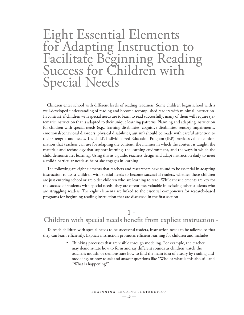## Eight Essential Elements for Adapting Instruction to Facilitate Beginning Reading Success for Children with Special Needs

Children enter school with different levels of reading readiness. Some children begin school with a well-developed understanding of reading and become accomplished readers with minimal instruction. In contrast, if children with special needs are to learn to read successfully, many of them will require systematic instruction that is adapted to their unique learning patterns. Planning and adapting instruction for children with special needs (e.g., learning disabilities, cognitive disabilities, sensory impairments, emotional/behavioral disorders, physical disabilities, autism) should be made with careful attention to their strengths and needs. The child's Individualized Education Program (IEP) provides valuable information that teachers can use for adapting the content, the manner in which the content is taught, the materials and technology that support learning, the learning environment, and the ways in which the child demonstrates learning. Using this as a guide, teachers design and adapt instruction daily to meet a child's particular needs as he or she engages in learning.

The following are eight elements that teachers and researchers have found to be essential in adapting instruction to assist children with special needs to become successful readers, whether these children are just entering school or are older children who are learning to read. While these elements are key for the success of students with special needs, they are oftentimes valuable in assisting other students who are struggling readers. The eight elements are linked to the essential components for research-based programs for beginning reading instruction that are discussed in the first section.

#### **1 Children with special needs benefit from explicit instruction**

To teach children with special needs to be successful readers, instruction needs to be tailored so that they can learn efficiently. Explicit instruction promotes efficient learning for children and includes:

> • Thinking processes that are visible through modeling. For example, the teacher may demonstrate how to form and say different sounds as children watch the teacher's mouth, or demonstrate how to find the main idea of a story by reading and modeling, or how to ask and answer questions like "Who or what is this about?" and "What is happening?"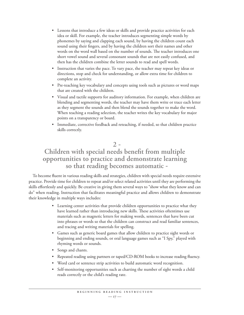- Lessons that introduce a few ideas or skills and provide practice activities for each idea or skill. For example, the teacher introduces segmenting simple words by phonemes by saying and clapping each sound, by having the children count each sound using their fingers, and by having the children sort their names and other words on the word wall based on the number of sounds. The teacher introduces one short vowel sound and several consonant sounds that are not easily confused, and then has the children combine the letter sounds to read and spell words.
- Instruction that varies the pace. To vary pace, the teacher may repeat key ideas or directions, stop and check for understanding, or allow extra time for children to complete an activity.
- Pre-teaching key vocabulary and concepts using tools such as pictures or word maps that are created with the children.
- Visual and tactile supports for auditory information. For example, when children are blending and segmenting words, the teacher may have them write or trace each letter as they segment the sounds and then blend the sounds together to make the word. When teaching a reading selection, the teacher writes the key vocabulary for major points on a transparency or board.
- Immediate, corrective feedback and reteaching, if needed, so that children practice skills correctly.

#### **2**

### **Children with special needs benefit from multiple opportunities to practice and demonstrate learning so that reading becomes automatic**

To become fluent in various reading skills and strategies, children with special needs require extensive practice. Provide time for children to repeat and/or select related activities until they are performing the skills effortlessly and quickly. Be creative in giving them several ways to "show what they know and can do" when reading. Instruction that facilitates meaningful practice and allows children to demonstrate their knowledge in multiple ways includes:

- Learning center activities that provide children opportunities to practice what they have learned rather than introducing new skills. These activities oftentimes use materials such as magnetic letters for making words, sentences that have been cut into phrases or words so that the children can construct and read familiar sentences, and tracing and writing materials for spelling.
- Games such as generic board games that allow children to practice sight words or beginning and ending sounds, or oral language games such as "I Spy," played with rhyming words or sounds.
- Songs and chants.
- Repeated reading using partners or taped/CD-ROM books to increase reading fluency.
- Word card or sentence strip activities to build automatic word recognition.
- Self-monitoring opportunities such as charting the number of sight words a child reads correctly or the child's reading rate.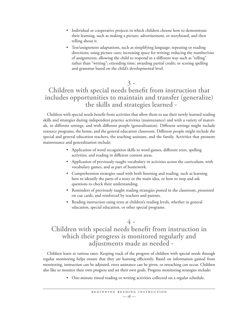- Individual or cooperative projects in which children choose how to demonstrate their learning, such as making a picture, advertisement, or storyboard, and then telling about it.
- Test/assignment adaptations, such as simplifying language; repeating or reading directions; using picture cues; increasing space for writing; reducing the number/size of assignments; allowing the child to respond in a different way such as "telling" rather than "writing"; extending time; awarding partial credit; or scoring spelling and grammar based on the child's developmental level.

#### **3 Children with special needs benefit from instruction that includes opportunities to maintain and transfer (generalize) the skills and strategies learned**

Children with special needs benefit from activities that allow them to use their newly-learned reading skills and strategies during independent practice activities (maintenance) and with a variety of materials, in different settings, and with different people (generalization). Different settings might include resource programs, the home, and the general education classroom. Different people might include the special and general education teachers, the teaching assistant, and the family. Activities that promote maintenance and generalization include:

- Application of word recognition skills to word games, different texts, spelling activities, and reading in different content areas.
- Application of previously taught vocabulary in activities across the curriculum, with vocabulary games, and as part of homework.
- Comprehension strategies used with both listening and reading, such as learning how to identify the parts of a story or the main idea, or how to stop and ask questions to check their understanding.
- Reminders of previously taught reading strategies posted in the classroom, presented on cue cards, and reinforced by teachers and parents.
- Reading instruction using texts at children's reading levels, whether in general education, special education, or other special programs.

#### **4 Children with special needs benefit from instruction in which their progress is monitored regularly and adjustments made as needed**

 Children learn at various rates. Keeping track of the progress of children with special needs through regular monitoring helps ensure that they are learning efficiently. Based on information gained from monitoring, instruction can be adjusted, extra assistance can be given, or reteaching can occur. Children also like to monitor their own progress and set their own goals. Progress monitoring strategies include:

• One-minute timed reading or writing activities collected on a regular schedule.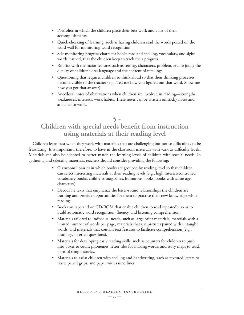- Portfolios in which the children place their best work and a list of their accomplishments.
- Quick checking of learning, such as having children read the words posted on the word wall for monitoring word recognition.
- Self-monitoring progress charts for books read and spelling, vocabulary, and sight words learned, that the children keep to track their progress.
- Rubrics with the major features such as setting, characters, problem, etc. to judge the quality of children's oral language and the content of retellings.
- Questioning that requires children to think aloud so that their thinking processes become visible to the teacher (e.g., Tell me how you figured out that word. Show me how you got that answer).
- Anecdotal notes of observations when children are involved in reading—strengths, weaknesses, interests, work habits. These notes can be written on sticky notes and attached to work.

#### **5 Children with special needs benefit from instruction using materials at their reading level**

Children learn best when they work with materials that are challenging but not so difficult as to be frustrating. It is important, therefore, to have in the classroom materials with various difficulty levels. Materials can also be adapted to better match the learning levels of children with special needs. In gathering and selecting materials, teachers should consider providing the following:

- Classroom libraries in which books are grouped by reading level so that children can select interesting materials at their reading levels (e.g., high interest/controlled vocabulary books, children's magazines, humorous books, books with same-age characters).
- Decodable texts that emphasize the letter-sound relationships the children are learning and provide opportunities for them to practice their new knowledge while reading.
- Books on tape and on CD-ROM that enable children to read repeatedly so as to build automatic word recognition, fluency, and listening comprehension.
- Materials tailored to individual needs, such as large print materials, materials with a limited number of words per page, materials that use pictures paired with untaught words, and materials that contain text features to facilitate comprehension (e.g., headings, inserted questions).
- Materials for developing early reading skills, such as counters for children to push into boxes to count phonemes; letter tiles for making words; and story maps to teach parts of simple stories.
- Materials to assist children with spelling and handwriting, such as textured letters to trace, pencil grips, and paper with raised lines.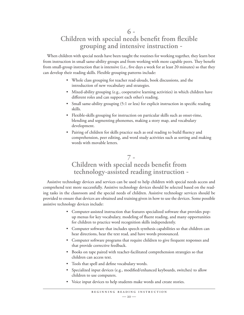#### **6 Children with special needs benefit from flexible grouping and intensive instruction**

When children with special needs have been taught the routines for working together, they learn best from instruction in small same-ability groups and from working with more capable peers. They benefit from small-group instruction that is intensive (i.e., five days a week for at least 20 minutes) so that they can develop their reading skills. Flexible grouping patterns include:

- Whole class grouping for teacher read-alouds, book discussions, and the introduction of new vocabulary and strategies.
- Mixed-ability grouping (e.g., cooperative learning activities) in which children have different roles and can support each other's reading.
- Small same-ability grouping (5:1 or less) for explicit instruction in specific reading skills.
- Flexible-skills grouping for instruction on particular skills such as onset-rime, blending and segmenting phonemes, making a story map, and vocabulary development.
- Pairing of children for skills practice such as oral reading to build fluency and comprehension, peer editing, and word study activities such as sorting and making words with movable letters.

#### **7 Children with special needs benefit from technology-assisted reading instruction**

Assistive technology devices and services can be used to help children with special needs access and comprehend text more successfully. Assistive technology devices should be selected based on the reading tasks in the classroom and the special needs of children. Assistive technology services should be provided to ensure that devices are obtained and training given in how to use the devices. Some possible assistive technology devices include:

- Computer-assisted instruction that features specialized software that provides popup menus for key vocabulary, modeling of fluent reading, and many opportunities for children to practice word recognition skills independently.
- Computer software that includes speech synthesis capabilities so that children can hear directions, hear the text read, and have words pronounced.
- Computer software programs that require children to give frequent responses and that provide corrective feedback.
- Books on tape paired with teacher-facilitated comprehension strategies so that children can access text.
- Tools that spell and define vocabulary words.
- Specialized input devices (e.g., modified/enhanced keyboards, switches) to allow children to use computers.
- Voice input devices to help students make words and create stories.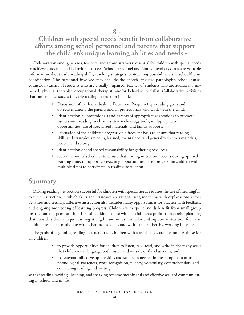#### **8 Children with special needs benefit from collaborative efforts among school personnel and parents that support the children's unique learning abilities and needs**

Collaboration among parents, teachers, and administrators is essential for children with special needs to achieve academic and behavioral success. School personnel and family members can share valuable information about early reading skills, teaching strategies, co-teaching possibilities, and school/home coordination. The personnel involved may include the speech-language pathologist, school nurse, counselor, teacher of students who are visually impaired, teacher of students who are auditorally impaired, physical therapist, occupational therapist, and/or behavior specialist. Collaborative activities that can enhance successful early reading instruction include:

- Discussion of the Individualized Education Program (iep) reading goals and objectives among the parents and all professionals who work with the child.
- Identification by professionals and parents of appropriate adaptations to promote success with reading, such as assistive technology tools, multiple practice opportunities, use of specialized materials, and family support.
- Discussion of the children's progress on a frequent basis to ensure that reading skills and strategies are being learned, maintained, and generalized across materials, people, and settings.
- Identification of and shared responsibility for gathering resources.
- Coordination of schedules to ensure that reading instruction occurs during optimal learning time, to support co-teaching opportunities, or to provide the children with multiple times to participate in reading instruction.

#### **Summary**

Making reading instruction successful for children with special needs requires the use of meaningful, explicit instruction in which skills and strategies are taught using modeling with explanations across activities and settings. Effective instruction also includes many opportunities for practice with feedback and ongoing monitoring of learning progress. Children with special needs benefit from small group instruction and peer tutoring. Like all children, those with special needs profit from careful planning that considers their unique learning strengths and needs. To tailor and support instruction for these children, teachers collaborate with other professionals and with parents, thereby, working in teams.

The goals of beginning reading instruction for children with special needs are the same as those for all children:

- to provide opportunities for children to listen, talk, read, and write in the many ways that children use language both inside and outside of the classroom, and,
- to systematically develop the skills and strategies needed in the component areas of phonological awareness, word recognition, fluency, vocabulary, comprehension, and connecting reading and writing

so that reading, writing, listening, and speaking become meaningful and effective ways of communicating in school and in life.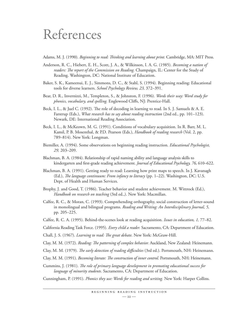# References

Adams, M. J. (1990). *Beginning to read: Thinking and learning about print.* Cambridge, MA: MIT Press.

- Anderson, R. C., Hiebert, E. H., Scott, J. A., & Wilkinson, I. A. G. (1985). *Becoming a nation of readers: The report of the Commission on Reading.* Champaign, IL: Center for the Study of Reading. Washington, DC: National Institute of Education.
- Baker, S. K., Kameenui, E. J., Simmons, D. C., & Stahl, S. (1994). Beginning reading: Educational tools for diverse learners. *School Psychology Review, 23,* 372–391.
- Bear, D. R., Invernizzi, M., Templeton, S., & Johnston, F. (1996). *Words their way: Word study for phonics, vocabulary, and spelling.* Englewood Cliffs, NJ: Prentice-Hall.
- Beck, I. L., & Juel C. (1992). The role of decoding in learning to read. In S. J. Samuels & A. E. Farstrup (Eds.), *What research has to say about reading instruction* (2nd ed., pp. 101–123). Newark, DE: International Reading Association.
- Beck, I. L., & McKeown, M. G. (1991). Conditions of vocabulary acquisition. In R. Barr, M. L. Kamil, P. B. Mosenthal, & P.D. Pearson (Eds.), *Handbook of reading research* (Vol. 2, pp. 789–814). New York: Longman.
- Biemiller, A. (1994). Some observations on beginning reading instruction. *Educational Psychologist, 29,* 203–209.
- Blachman, B. A. (1984). Relationship of rapid naming ability and language analysis skills to kindergarten and first-grade reading achievement. *Journal of Educational Psychology, 76,* 610–622.
- Blachman, B. A. (1991). Getting ready to read: Learning how print maps to speech. In J. Kavanagh (Ed.), *The language continuum: From infancy to literacy* (pp. 1–22). Washington, DC: U.S. Dept. of Health and Human Services.
- Brophy, J. and Good, T. (1986). Teacher behavior and student achievement. M. Wittrock (Ed.), *Handbook on research on teaching* (3rd ed.,). New York: Macmillan.
- Calfee, R. C., & Moran, C. (1993). Comprehending orthography, social construction of letter-sound in monolingual and bilingual programs. *Reading and Writing: An Interdisciplinary Journal, 5,*  pp. 205–225.
- Calfee, R. C. A. (1995). Behind-the-scenes look at reading acquisition. *Issues in education, 1,* 77–82.
- California Reading Task Force. (1995). *Every child a reader.* Sacramento, CA: Department of Education.
- Chall, J. S. (1967). *Learning to read: The great debate.* New York: McGraw-Hill.
- Clay, M. M. (1972). *Reading: The patterning of complex behavior.* Auckland, New Zealand: Heinemann.
- Clay, M. M. (1979). *The early detection of reading difficulties* (3rd ed.). Portsmouth, NH: Heinemann.
- Clay, M. M. (1991). *Becoming literate: The construction of inner control.* Portsmouth, NH: Heinemann.
- Cummins, J. (1981). *The role of primary language development in promoting educational success for language of minority students.* Sacramento, CA: Department of Education.
- Cunningham, P. (1991). *Phonics they use: Words for reading and writing.* New York: Harper Collins.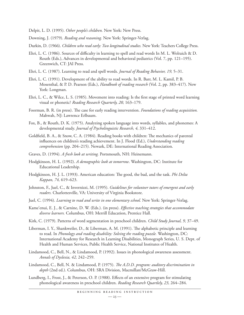Delpit, L. D. (1995). *Other people's children.* New York: New Press.

- Downing, J. (1979). *Reading and reasoning.* New York: Springer-Verlag.
- Durkin, D. (1966). *Children who read early: Two longitudinal studies.* New York: Teachers College Press.
- Ehri, L. C. (1986). Sources of difficulty in learning to spell and read words In M. L. Wolraich & D. Routh (Eds.), Advances in developmental and behavioral pediatrics (Vol. 7, pp. 121–195). Greenwich, CT: JAI Press.
- Ehri, L. C. (1987). Learning to read and spell words. *Journal of Reading Behavior, 19,* 5–31.
- Ehri, L. C. (1991). Development of the ability to read words. In R. Barr, M. L. Kamil, P. B. Mosenthal, & P. D. Pearson (Eds.), *Handbook of reading research* (Vol. 2, pp. 383–417). New York: Longman.
- Ehri, L. C., & Wilce, L. S. (1985). Movement into reading: Is the first stage of printed word learning visual or phonetic? *Reading Research Quarterly, 20,* 163–179.
- Foorman, B. R. (in press). The case for early reading intervention. *Foundations of reading acquisition.*  Mahwah, NJ: Lawrence Erlbaum.
- Fox, B., & Routh, D. K. (1975). Analyzing spoken language into words, syllables, and phonemes: A developmental study. *Journal of Psycholinguistic Research, 4,* 331–412.
- Goldfield, B. A., & Snow, C. A. (1984). Reading books with children: The mechanics of parental influences on children's reading achievement. In J. Flood (Ed.), *Understanding reading comprehension* (pp. 204–215)*.* Newark, DE: International Reading Association.
- Graves, D. (1994). *A fresh look at writing.* Portsmouth, NH: Heinemann.
- Hodgkinson, H. L. (1992). *A demographic look at tomorrow*. Washington, DC: Institute for Educational Leadership.
- Hodgkinson, H. J. L. (1993). American education: The good, the bad, and the task. *Phi Delta Kappan, 74,* 619–623.
- Johnston, F., Juel, C., & Invernizzi, M. (1995). *Guidelines for volunteer tutors of emergent and early readers.* Charlottesville, VA: University of Virginia Bookstore.
- Juel, C. (1994). *Learning to read and write in one elementary school.* New York: Springer-Verlag.
- Kame'enui, E. J., & Carnine, D. W. (Eds.). (in press). *Effective teaching strategies that accommodate diverse learners.* Columbus, OH: Merrill Education, Prentice Hall.
- Kirk, C. (1979). Patterns of word segmentation in preschool children. *Child Study Journal, 9,* 37–49.
- Liberman, I. Y., Shankweiler, D., & Liberman, A. M. (1991). The alphabetic principle and learning to read. In *Phonology and reading disability: Solving the reading puzzle.* Washington, DC: International Academy for Research in Learning Disabilities, Monograph Series, U. S. Dept. of Health and Human Services, Public Health Service, National Institutes of Health.
- Lindamood, C., Bell, N., & Lindamood, P. (1992). Issues in phonological awareness assessment. *Annals of Dyslexia, 42,* 242–259.
- Lindamood, C., Bell, N. & Lindamood, P. (1975). *The A.D.D. program: auditory discrimination in depth* (2nd ed.). Columbus, OH: SRA Division, Macmillan/McGraw-Hill.
- Lundberg, I., Frost, J., & Peterson, O. P. (1988). Effects of an extensive program for stimulating phonological awareness in preschool children. *Reading Research Quartlely, 23,* 264–284.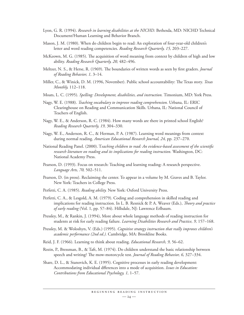- Lyon, G. R. (1994). *Research in learning disabilities at the NICHD.* Bethesda, MD: NICHD Technical Document/Human Learning and Behavior Branch.
- Mason, J. M. (1980). When do children begin to read: An exploration of four-year-old children's letter and word reading competencies. *Reading Research Quarterly, 15,* 203–227.
- McKeown, M. G. (1985). The acquisition of word meaning from context by children of high and low ability. *Reading Research Quarterly, 20,* 482–496.
- Meltzer, N. S., & Herse, R. (1969). The boundaries of written words as seen by first graders. *Journal of Reading Behavior, 1,* 3–14.
- Miller, C., & Winick, D. M. (1996, November). Public school accountability: The Texas story. *Texas Monthly,* 112–118.
- Moats, L. C. (1995). *Spelling: Development, disabilities, and instruction.* Timonium, MD: York Press.
- Nagy, W. E. (1988). *Teaching vocabulary to improve reading comprehension.* Urbana, IL: ERIC Clearinghouse on Reading and Communication Skills. Urbana, IL: National Council of Teachers of English.
- Nagy, W. E., & Anderson, R. C. (1984). How many words are there in printed school English? *Reading Research Quarterly, 19,* 304–330.
- Nagy, W. E., Anderson, R. C., & Herman, P. A. (1987). Learning word meanings from context during normal reading. *American Educational Research Journal, 24,* pp. 237–270.
- National Reading Panel. (2000). T*eaching children to read: An evidence-based assessment of the scientific research literature on reading and its implications for reading instruction.* Washington, DC: National Academy Press.
- Pearson, D. (1993). Focus on research: Teaching and learning reading: A research perspective. *Language Arts, 70,* 502–511.
- Pearson, D. (in press). Reclaiming the center. To appear in a volume by M. Graves and B. Taylor. New York: Teachers in College Press.
- Perfetti, C. A. (1985). *Reading ability.* New York: Oxford University Press.
- Perfetti, C. A., & Lesgold, A. M. (1979). Coding and comprehension in skilled reading and implications for reading instruction. In L. B. Resnick & P. A. Weaver (Eds.), *Theory and practice of early reading* (Vol. 1, pp. 57–84). Hillsdale, NJ: Lawrence Erlbaum.
- Pressley, M., & Rankin, J. (1994), More about whole language methods of reading instruction for students at risk for early reading failure. *Learning Disabilities Research and Practice, 9,* 157–168.
- Pressley, M. & Woloshyn, V. (Eds.) (1995). *Cognitive strategy instruction that really improves children's academic performance (2nd ed.).* Cambridge, MA: Brookline Books.
- Reid, J. F. (1966). Learning to think about reading. *Educational Research, 9,* 56–62.
- Rozin, P., Bressman, B., & Taft, M. (1974). Do children understand the basic relationship between speech and writing? The mow-motorcycle test. *Journal of Reading Behavior, 6,* 327–334.
- Share, D. L., & Stanovich, K. E. (1995). Cognitive processes in early reading development: Accommodating individual dfferences into a mode of acquisition. *Issues in Education: Contributions from Educational Psychology, 1,* 1–57.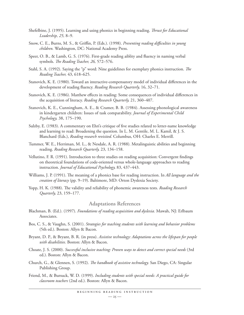- Shefelbine, J. (1995). Learning and using phonics in beginning reading. *Thrust for Educational Leadership, 25,* 8–9.
- Snow, C. E., Burns, M. S., & Griffin, P. (Eds.). (1998). *Preventing reading difficulties in young children.* Washington, DC: National Academy Press.
- Speer, O. B., & Lamb, G. S. (1976). First-grade reading aiblity and fluency in naming verbal symbols. *The Reading Teacher, 26,* 572–576.
- Stahl, S. A. (1992). Saying the "p" word: Nine guidelines for exemplary phonics instruction. *The Reading Teacher,* 43, 618–625.
- Stanovich, K. E. (1980). Toward an interactive-compensatory model of individual differences in the development of reading fluency. *Reading Research Quarterly,* 16, 32–71.
- Stanovich, K. E. (1986). Matthew effects in reading: Some consequences of individual differences in the acquisition of literacy. *Reading Research Quarterly,* 21, 360–407.
- Stanovich, K. E., Cunningham, A. E., & Cramer, B. B. (1984). Assessing phonological awareness in kindergarten children: Issues of task comparability. *Journal of Experimental Child Psychology,* 38, 175–190.
- Sulzby, E. (1983). A commentary on Ehri's critique of five studies related to letter-name knowledge and learning to read: Broadening the question. In L. M. Gentile, M. L. Kamil, & J. S. Blanchard (Eds.), *Reading research revisited.* Columbus, OH: Charles E. Merrill.
- Tummer, W. E., Herriman, M. L., & Nesdale, A. R. (1988). Metalinguistic abilities and beginning reading. *Reading Research Quarterly,* 23, 134–158.
- Vellutino, F. R. (1991). Introduction to three studies on reading acquisition: Convergent findings on theoretical foundations of code-oriented versus whole-language approaches to reading instruction. *Journal of Educational Psychology,* 83, 437–443.
- Williams, J. P. (1991). The meaning of a phonics base for reading instruction. In *All language and the creation of literacy* (pp. 9–19). Baltimore, MD: Orton Dyslexia Society.
- Yopp, H. K. (1988). The validity and reliability of phonemic awareness tests. *Reading Research Quarterly,* 23, 159–177.

#### **Adaptations References**

- Blachman, B. (Ed.). (1997). *Foundations of reading acquisition and dyslexia.* Mawah, NJ: Erlbaum Associates.
- Bos, C. S., & Vaughn, S. (2001). *Strategies for teaching students with learning and behavior problems*  (5th ed.). Boston: Allyn & Bacon.
- Bryant, D. P., & Bryant, B. R. (in press). *Assistive technology: Adaptations across the lifespan for people with disabilities.* Boston: Allyn & Bacon.
- Choate, J. S. (2000). *Successful inclusive teaching: Proven ways to detect and correct special needs* (3rd ed.). Boston: Allyn & Bacon.
- Church, G., & Glennen, S. (1992). *The handbook of assistive technology.* San Diego, CA: Singular Publishing Group.
- Friend, M., & Bursuck, W. D. (1999). *Including students with special needs: A practical guide for classroom teachers* (2nd ed.). Boston: Allyn & Bacon.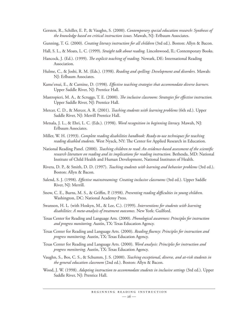- Gersten, R., Schiller, E. P., & Vaughn, S. (2000). *Contemporary special education research: Syntheses of the knowledge based on critical instruction issues.* Mawah, NJ: Erlbaum Associates.
- Gunning, T. G. (2000). *Creating literacy instruction for all children* (3rd ed.). Boston: Allyn & Bacon.
- Hall, S. L., & Moats, L. C. (1999). *Straight talk about reading.* Lincolnwood, IL: Contemporary Books.
- Hancock, J. (Ed.). (1999). *The explicit teaching of reading.* Newark, DE: International Reading Association.
- Hulme, C., & Joshi, R. M. (Eds.). (1998). *Reading and spelling: Development and disorders.* Mawah: NJ: Erlbaum Associates.
- Kame'enui, E., & Carnine, D. (1998). *Effective teaching strategies that accommodate diverse learners.*  Upper Saddle River, NJ: Prentice Hall.
- Mastropieri, M. A., & Scruggs, T. E. (2000). *The inclusive classroom: Strategies for effective instruction.*  Upper Saddle River, NJ: Prentice Hall.
- Mercer, C. D., & Mercer, A. R. (2001). *Teaching students with learning problems* (6th ed.). Upper Saddle River, NJ: Merrill Prentice Hall.
- Metsala, J. L., & Ehri, L. C. (Eds.). (1998). *Word recognition in beginning literacy.* Mawah, NJ: Erlbaum Associates.
- Miller, W. H. (1993). *Complete reading disabilities handbook: Ready-to-use techniques for teaching reading disabled students.* West Nyack, NY: The Center for Applied Research in Education.
- National Reading Panel. (2000). *Teaching children to read: An evidence-based assessment of the scientific research literature on reading and its implications for reading instruction.* Bethesda, MD: National Institute of Child Health and Human Development, National Institutes of Health.
- Rivera, D. P., & Smith, D. D. (1997). *Teaching students with learning and behavior problems* (3rd ed.). Boston: Allyn & Bacon.
- Salend, S. J. (1998). *Effective mainstreaming: Creating inclusive classrooms* (3rd ed.). Upper Saddle River, NJ: Merrill.
- Snow, C. E., Burns, M. S., & Griffin, P. (1998). *Preventing reading difficulties in young children.*  Washington, DC: National Academy Press.
- Swanson, H. L. (with Hoskyn, M., & Lee, C.). (1999). *Interventions for students with learning disabilities: A meta-analysis of treatment outcomes.* New York: Guilford.
- Texas Center for Reading and Language Arts. (2000). *Phonological awareness: Principles for instruction and progress monitoring.* Austin, TX: Texas Education Agency.
- *progress monitoring.* Austin, TX: Texas Education Agency. Texas Center for Reading and Language Arts. (2000). *Reading fluency: Principles for instruction and*
- *progress monitoring.* Austin, TX: Texas Education Agency. Texas Center for Reading and Language Arts. (2000). *Word analysis: Principles for instruction and*
- Vaughn, S., Bos, C. S., & Schumm, J. S. (2000). *Teaching exceptional, diverse, and at-risk students in the general education classroom* (2nd ed.). Boston: Allyn & Bacon.
- Wood, J. W. (1998). *Adapting instruction to accommodate students in inclusive settings* (3rd ed.). Upper Saddle River, NJ: Prentice Hall.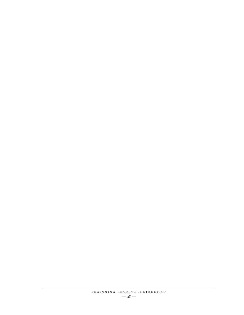#### B E G I N N I N G R E A D I N G I N S T R U C T I O N  $-28-$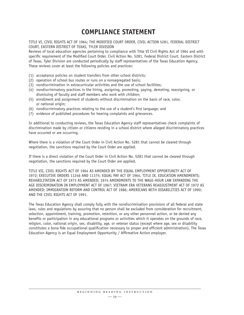### **COMPLIANCE STATEMENT**

#### TITLE VI, CIVIL RIGHTS ACT OF 1964; THE MODIFIED COURT ORDER, CIVIL ACTION 5281, FEDERAL DISTRICT COURT, EASTERN DISTRICT OF TEXAS, TYLER DIVISION

Reviews of local education agencies pertaining to compliance with Title VI Civil Rights Act of 1964 and with specific requirement of the Modified Court Order, Civil Action No. 5281, Federal District Court, Eastern District of Texas, Tyler Division are conducted periodically by staff representatives of the Texas Education Agency. These reviews cover at least the following policies and practices:

- (1) acceptance policies on student transfers from other school districts;
- (2) operation of school bus routes or runs on a nonsegregated basis;
- (3) nondiscrimination in extracurricular activities and the use of school facilities;
- (4) nondiscriminatory practices in the hiring, assigning, promoting, paying, demoting, reassigning, or dismissing of faculty and staff members who work with children;
- (5) enrollment and assignment of students without discrimination on the basis of race, color, or national origin:
- (6) nondiscriminatory practices relating to the use of a student's first language; and
- (7) evidence of published procedures for hearing complaints and grievances.

In additional to conducting reviews, the Texas Education Agency staff representatives check complaints of discrimination made by citizen or citizens residing in a school district where alleged discriminatory practices have occurred or are occurring.

Where there is a violation of the Court Order in Civil Action No. 5281 that cannot be cleared through negotiation, the sanctions required by the Court Order are applied.

If there is a direct violation of the Court Order in Civil Action No. 5281 that cannot be cleared through negotiation, the sanctions required by the Court Order are applied.

TITLE VII, CIVIL RIGHTS ACT OF 1964 AS AMENDED BY THE EQUAL EMPLOYMENT OPPORTUNITY ACT OF 1972; EXECUTIVE ORDERS 11246 AND 11375; EQUAL PAY ACT OF 1964, TITLE IX, EDUCATION AMENDMENTS; REHABILITATION ACT OF 1973 AS AMENDED; 1974 AMENDMENTS TO THE WAGE-HOUR LAW EXPANDING THE AGE DISCRIMINATION IN EMPLOYMENT ACT OF 1967; VIETNAM ERA VETERANS READJUSTMENT ACT OF 1972 AS AMENDED; IMMIGRATION REFORM AND CONTROL ACT OF 1986; AMERICANS WITH DISABILITIES ACT OF 1990; AND THE CIVIL RIGHTS ACT OF 1991.

The Texas Education Agency shall comply fully with the nondiscrimination provisions of all federal and state laws, rules and regulations by assuring that no person shall be excluded from consideration for recruitment, selection, appointment, training, promotion, retention, or any other personnel action, or be denied any benefits or participation in any educational programs or activities which it operates on the grounds of race, religion, color, national origin, sex, disability, age, or veteran status (except where age, sex or disability constitutes a bona fide occupational qualification necessary to proper and efficient administration). The Texas Education Agency is an Equal Employment Opportunity / Affirmative Action employer.